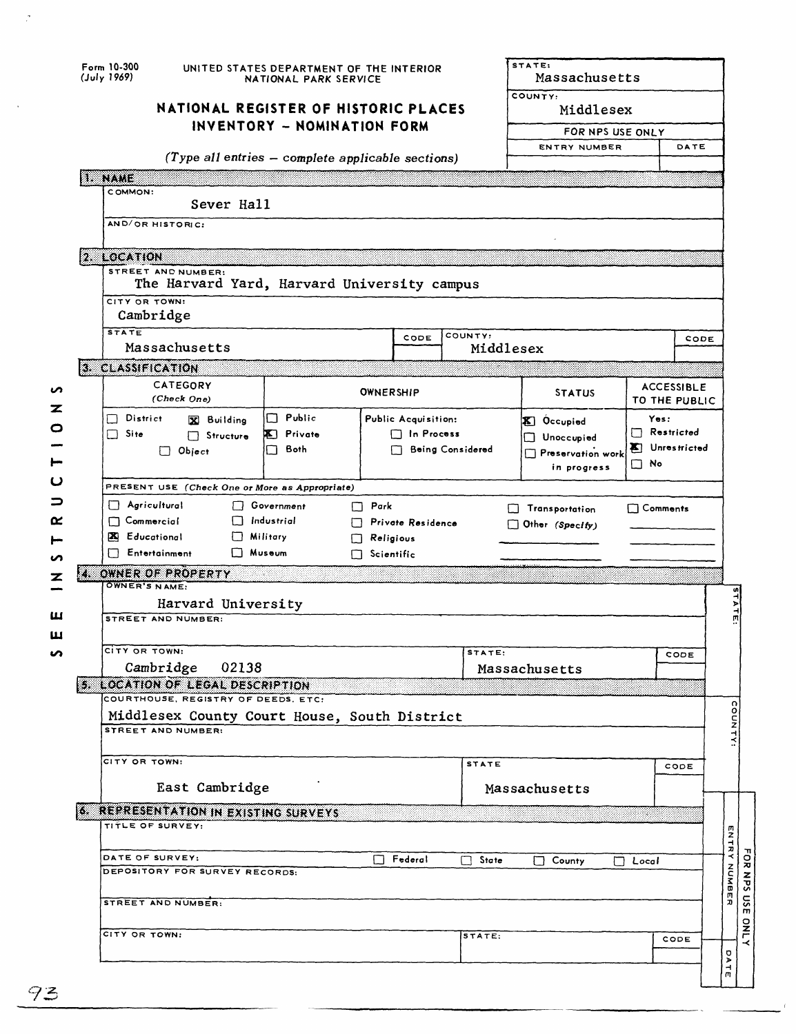| NATIONAL REGISTER OF HISTORIC PLACES<br>INVENTORY - NOMINATION FORM                                       | COUNTY:<br>Middlesex                            |                                    |  |  |  |
|-----------------------------------------------------------------------------------------------------------|-------------------------------------------------|------------------------------------|--|--|--|
|                                                                                                           | FOR NPS USE ONLY<br><b>ENTRY NUMBER</b><br>DATE |                                    |  |  |  |
|                                                                                                           |                                                 |                                    |  |  |  |
| $(Type$ all entries $-$ complete applicable sections)                                                     |                                                 |                                    |  |  |  |
| mento                                                                                                     |                                                 |                                    |  |  |  |
| COMMON:<br>Sever Hall                                                                                     |                                                 |                                    |  |  |  |
| AND/OR HISTORIC:                                                                                          |                                                 |                                    |  |  |  |
|                                                                                                           |                                                 |                                    |  |  |  |
| 2. LOCATION                                                                                               |                                                 |                                    |  |  |  |
| STREET AND NUMBER:<br>The Harvard Yard, Harvard University campus                                         |                                                 |                                    |  |  |  |
| CITY OR TOWN:<br>Cambridge                                                                                |                                                 |                                    |  |  |  |
| <b>STATE</b><br>COUNTY:<br>CODE                                                                           |                                                 | CODE                               |  |  |  |
| Massachusetts<br>Middlesex                                                                                |                                                 |                                    |  |  |  |
| 3. CLASSIFICATION                                                                                         |                                                 |                                    |  |  |  |
| CATEGORY<br><b>OWNERSHIP</b><br>(Check One)                                                               | <b>STATUS</b>                                   | <b>ACCESSIBLE</b><br>TO THE PUBLIC |  |  |  |
| Public<br>$\Box$ District<br>П<br>Public Acquisition:<br>X Building                                       | Yes:<br><b>X</b> Occupied                       |                                    |  |  |  |
| $\Box$ Site<br><b>X</b> Private<br>$\Box$ In Process<br>Structure<br>Both<br><b>Being Considered</b><br>⊓ | Unoccupied                                      | $\Box$ Restricted<br>Unrestricted  |  |  |  |
| $\Box$ Object                                                                                             | Preservation work<br>$\Box$ No<br>in progress   |                                    |  |  |  |
|                                                                                                           |                                                 |                                    |  |  |  |
| PRESENT USE (Check One or More as Appropriate)<br>$\Box$ Agricultural                                     |                                                 |                                    |  |  |  |
| Government<br>$\Box$ Park<br>$\Box$ Commercial<br>$\Box$ Industrial<br>Private Residence                  | $\Box$ Comments<br>Transportation               |                                    |  |  |  |
| X Educational<br>$\Box$ Military<br>$\Box$ Religious                                                      | Other (Specify)                                 |                                    |  |  |  |
| Fntertainment<br>$\Box$ Museum<br>$\Box$ Scientific                                                       |                                                 |                                    |  |  |  |
| Z.<br>OWNER OF PROPERTY                                                                                   |                                                 |                                    |  |  |  |
| OWNER'S NAME:                                                                                             |                                                 |                                    |  |  |  |
| Harvard University                                                                                        |                                                 |                                    |  |  |  |
| STREET AND NUMBER:                                                                                        |                                                 |                                    |  |  |  |
| CITY OR TOWN:<br>strare.                                                                                  |                                                 |                                    |  |  |  |
| Cambridge<br>02138                                                                                        | Massachusetts                                   | соов                               |  |  |  |
| 5. LOCATION OF LEGAL DESCRIPTION                                                                          |                                                 |                                    |  |  |  |
| COURTHOUSE, REGISTRY OF DEEDS, ETC:                                                                       |                                                 |                                    |  |  |  |
| Middlesex County Court House, South District                                                              |                                                 |                                    |  |  |  |
| STREET AND NUMBER:                                                                                        |                                                 |                                    |  |  |  |
| CITY OR TOWN:<br><b>STATE</b>                                                                             |                                                 |                                    |  |  |  |
|                                                                                                           |                                                 | CODE                               |  |  |  |
| East Cambridge                                                                                            | Massachusetts                                   |                                    |  |  |  |
| <b>6. REPRESENTATION IN EXISTING SURVEYS</b>                                                              |                                                 |                                    |  |  |  |
| TITLE OF SURVEY:                                                                                          |                                                 |                                    |  |  |  |
|                                                                                                           |                                                 |                                    |  |  |  |
| DATE OF SURVEY:<br>Federal<br>L L<br>State<br>DEPOSITORY FOR SURVEY RECORDS:                              | County<br>$\Box$ Local                          |                                    |  |  |  |
|                                                                                                           |                                                 | <b>ENTRY NUMBER</b>                |  |  |  |
|                                                                                                           |                                                 |                                    |  |  |  |
| STREET AND NUMBER:                                                                                        |                                                 |                                    |  |  |  |
|                                                                                                           |                                                 |                                    |  |  |  |
| CITY OR TOWN:<br>STATE:                                                                                   |                                                 | CODE                               |  |  |  |
|                                                                                                           |                                                 | ۵À<br>$\frac{1}{n}$                |  |  |  |

93

 $\frac{1}{\sqrt{2}}$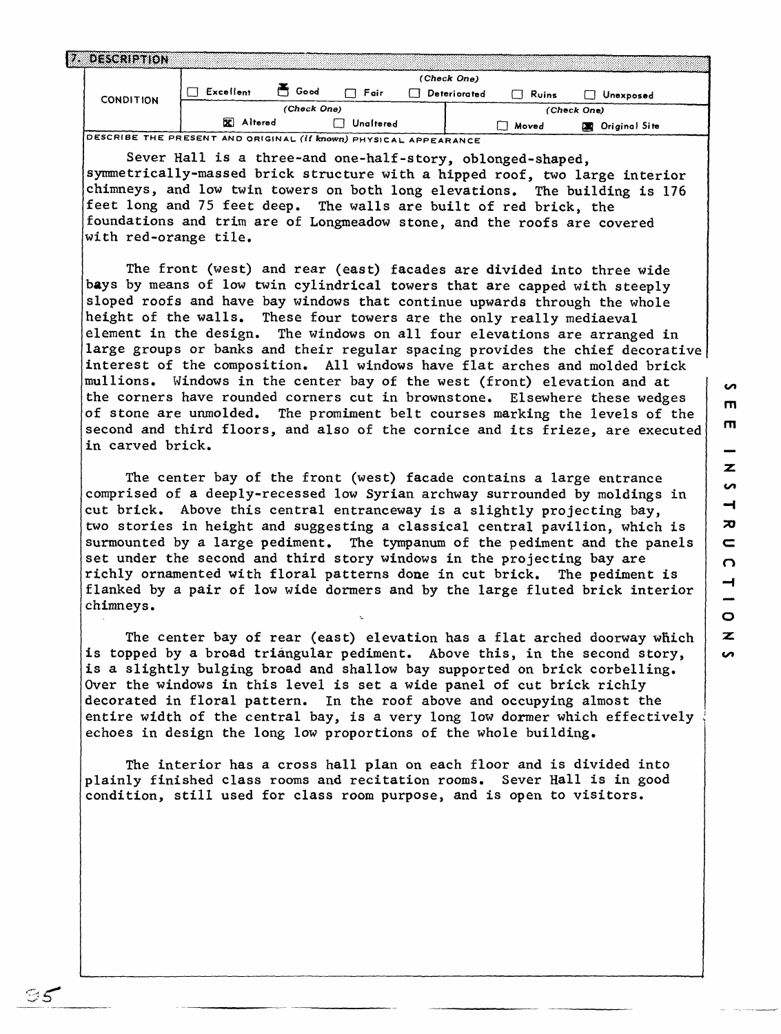| <b>7. DESCRIPTION</b>                                            |             |      |           |  |              |       |  |               |  |
|------------------------------------------------------------------|-------------|------|-----------|--|--------------|-------|--|---------------|--|
| <b>CONDITION</b>                                                 | (Check One) |      |           |  |              |       |  |               |  |
|                                                                  | Excellent   | Good | Fair      |  | Deteriorated | Ruins |  | Unexposed     |  |
|                                                                  |             |      |           |  | (Check One)  |       |  |               |  |
|                                                                  | X Altered   |      | Unaltered |  |              | Moved |  | Original Site |  |
| DESCRIBE THE PRESENT AND ORIGINAL (If known) PHYSICAL APPEARANCE |             |      |           |  |              |       |  |               |  |

Sever Hall is a three-and one-half-story, oblonged-shaped,

symmetrically-massed brick structure with a hipped roof, two large interior chimneys, and low twin towers on both long elevations. The building is 176 feet long and 75 feet deep. The walls are built of red brick, the foundations and trim are of Longmeadow stone, and the roofs are covered with red-orange tile.

The front (west) and rear (east) facades are divided into three wide bays by means of low twin cylindrical towers that are capped with steeply sloped roofs and have bay windows that continue upwards through the whole height of the walls. These four towers are the only really mediaeval element in the design. The windows on all four elevations are arranged in large groups or banks and their regular spacing provides the chief decorative interest of the composition. All windows have flat arches and molded brick mullions. Windows in the center bay of the west (front) elevation and at the corners have rounded corners cut in brownstone. Elsewhere these wedges of stone are unmolded. The promiment belt courses marking the levels of the second and third floors, and also of the cornice and its frieze, are executed in carved brick.

The center bay of the front (west) facade contains a large entrance comprised of a deeply-recessed low Syrian archway surrounded by moldings in cut brick. Above this central entranceway is a slightly projecting bay, two stories in height and suggesting a classical central pavilion, which is surmounted by a large pediment. The tympanum of the pediment and the panels set under the second and third story windows in the projecting bay are richly ornamented with floral patterns done in cut brick. The pediment is flanked by a pair of low wide dormers and by the large fluted brick interior chimneys.

The center bay of rear (east) elevation has a flat arched doorway which is topped by a broad triangular pediment. Above this, in the second story, is a slightly bulging broad and shallow bay supported on brick corbelling. Over the windows in this level is set a wide panel of cut brick richly decorated in floral pattern. In the roof above and occupying almost the entire width of the central bay, is a very long low dormer which effectively echoes in design the long low proportions of the whole building.

The interior has a cross hall plan on each floor and is divided into plainly finished class rooms and recitation rooms. Sever Hall is in good condition, still used for class room purpose, and is open to visitors.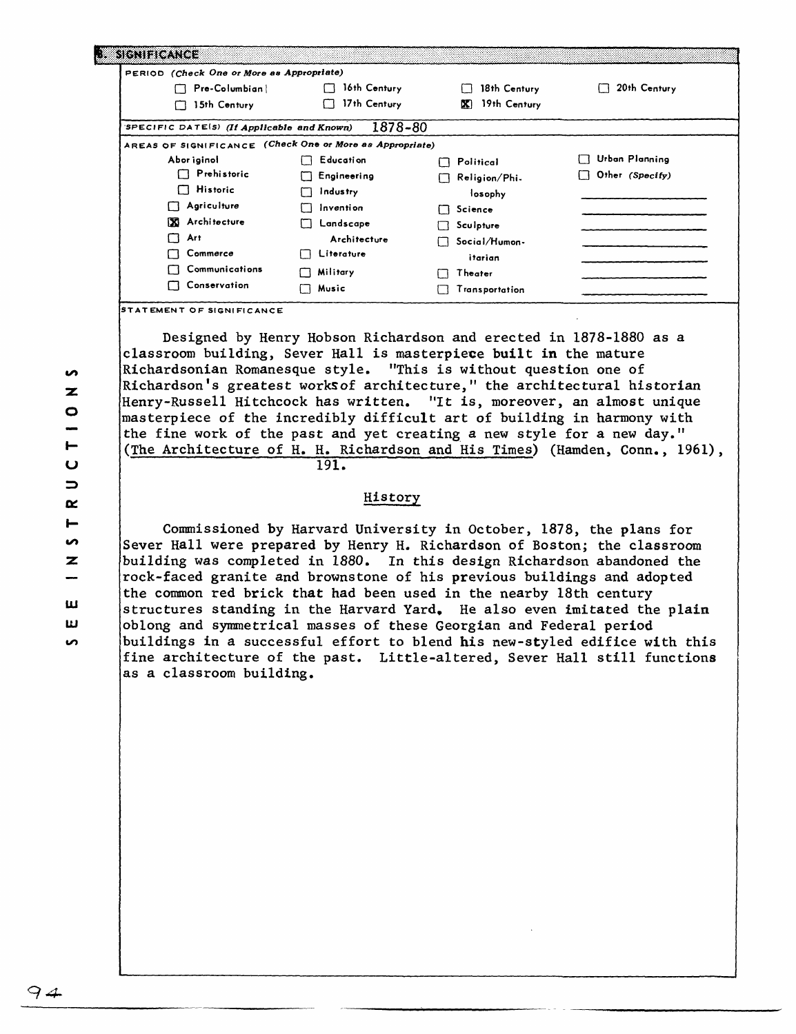| PERIOD (Check One or More as Appropriate)                |                  |                    |                 |
|----------------------------------------------------------|------------------|--------------------|-----------------|
| Pre-Columbian<br>П                                       | 16th Century     | 18th Century       | 20th Century    |
| 15th Century                                             | 17th Century     | 19th Century<br>X. |                 |
| SPECIFIC DATES) (If Applicable and Known)                | 1878-80          |                    |                 |
| AREAS OF SIGNIFICANCE (Check One or More as Appropriate) |                  |                    |                 |
| Abor iginol                                              | Education        | Political<br>П     | Urban Planning  |
| $\Box$ Prehistoric                                       | Engineering      | Religion/Phi.<br>П | Other (Specify) |
| $\Box$ Historic                                          | <b>Industry</b>  | losophy            |                 |
| Agriculture                                              | Invention        | Science<br>П       |                 |
| x<br>Architecture                                        | Landscape        | Sculpture          |                 |
| Art                                                      | Architecture     | Social/Humon-      |                 |
| Commerce                                                 | Literature<br>ΙI | itarian            |                 |
| Communications                                           | Military<br>1 I  | Theater            |                 |
| Conservation                                             | Music<br>I I     | Transportation     |                 |

Designed by Henry Hobson Richardson and erected in 1878-1880 as a classroom building, Sever Hall is masterpiece built in the mature Richardsonian Romanesque style. "This is without question one of Richardson's greatest worksof architecture," the architectural historian Henry-Russell Hitchcock has written. "It is, moreover, an almost unique masterpiece of the incredibly difficult art of building in harmony with the fine work of the past and yet creating a new style for a new day." (The Architecture of H. H. Richardson and His Times) (Hamden, Conn., 1961),

191.

## History

Commissioned by Harvard University in October, 1878, the plans for Sever Hall were prepared by Henry H. Richardson of Boston; the classroom building was completed in 1880. In this design Richardson abandoned the rock-faced granite and brownstone of his previous buildings and adopted the common red brick that had been used in the nearby 18th century structures standing in the Harvard Yard, He also even imitated the plain oblong and symmetrical masses of these Georgian and Federal period buildings in a successful effort to blend his new-styled edifice with this fine architecture of the past. Little-altered, Sever Hall still functions as a classroom building.

**S**  $\mathbf{z}$  $\bullet$ ⊢ u  $\Rightarrow$ Œ.  $\blacksquare$ S.  $\overline{z}$ **LU LJ CO**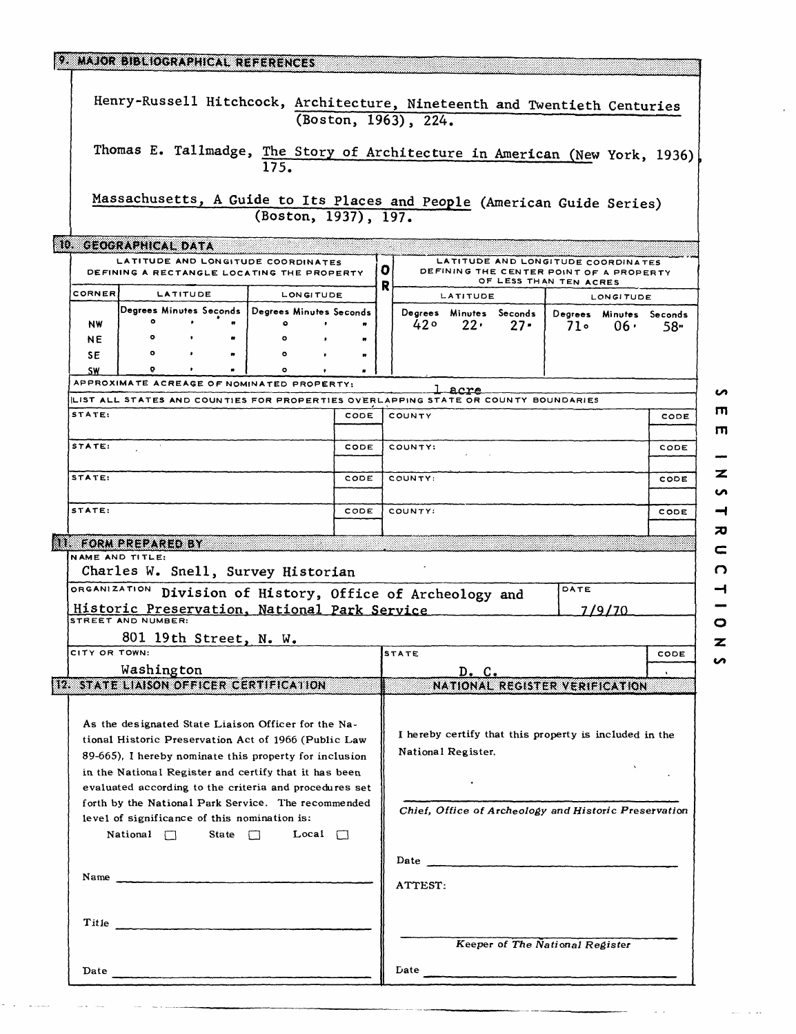|                                                                                                                                                                                                                                | 9. MAJOR BIBLIOGRAPHICAL REFERENCES                                                |          |  |           |           |                                                                              |         |                                                               |                                         |                |                                                                                                         |                                       |      |
|--------------------------------------------------------------------------------------------------------------------------------------------------------------------------------------------------------------------------------|------------------------------------------------------------------------------------|----------|--|-----------|-----------|------------------------------------------------------------------------------|---------|---------------------------------------------------------------|-----------------------------------------|----------------|---------------------------------------------------------------------------------------------------------|---------------------------------------|------|
|                                                                                                                                                                                                                                | Henry-Russell Hitchcock, Architecture, Nineteenth and Twentieth Centuries          |          |  |           |           |                                                                              |         | (Boston, 1963), 224.                                          |                                         |                |                                                                                                         |                                       |      |
|                                                                                                                                                                                                                                | Thomas E. Tallmadge, The Story of Architecture in American (New York, 1936)        |          |  | 175.      |           |                                                                              |         |                                                               |                                         |                |                                                                                                         |                                       |      |
|                                                                                                                                                                                                                                | Massachusetts, A Guide to Its Places and People (American Guide Series)            |          |  |           |           | (Boston, 1937), 197.                                                         |         |                                                               |                                         |                |                                                                                                         |                                       |      |
|                                                                                                                                                                                                                                | <b>10. GEOGRAPHICAL DATA</b>                                                       |          |  |           |           |                                                                              |         |                                                               |                                         |                |                                                                                                         |                                       |      |
|                                                                                                                                                                                                                                | LATITUDE AND LONGITUDE COORDINATES<br>DEFINING A RECTANGLE LOCATING THE PROPERTY   |          |  |           |           |                                                                              | o<br>R  |                                                               |                                         |                | LATITUDE AND LONGITUDE COORDINATES<br>DEFINING THE CENTER POINT OF A PROPERTY<br>OF LESS THAN TEN ACRES |                                       |      |
| <b>CORNER</b>                                                                                                                                                                                                                  |                                                                                    | LATITUDE |  |           | LONGITUDE |                                                                              |         |                                                               | LATITUDE                                |                |                                                                                                         | <b>LONGITUDE</b>                      |      |
| NW                                                                                                                                                                                                                             | Degrees Minutes Seconds   Degrees Minutes Seconds<br>۰<br>$\bullet$                |          |  | ۰         |           |                                                                              |         | 42°                                                           | Degrees Minutes Seconds  <br>$22 \cdot$ | $27 -$         | 71.                                                                                                     | Degrees Minutes Seconds<br>$06 \cdot$ | 58•  |
| NE.<br>SE                                                                                                                                                                                                                      | ۰                                                                                  |          |  | $\bullet$ |           | n                                                                            |         |                                                               |                                         |                |                                                                                                         |                                       |      |
| <b>SW</b>                                                                                                                                                                                                                      | ۰<br>APPROXIMATE ACREAGE OF NOMINATED PROPERTY:                                    |          |  | $\bullet$ |           |                                                                              |         |                                                               |                                         |                |                                                                                                         |                                       |      |
|                                                                                                                                                                                                                                | LIST ALL STATES AND COUNTIES FOR PROPERTIES OVERLAPPING STATE OR COUNTY BOUNDARIES |          |  |           |           |                                                                              |         |                                                               | acre                                    |                |                                                                                                         |                                       | n    |
| STATE:                                                                                                                                                                                                                         |                                                                                    |          |  |           |           | CODE                                                                         |         | COUNTY                                                        |                                         | m<br>CODE<br>m |                                                                                                         |                                       |      |
| STATE:                                                                                                                                                                                                                         |                                                                                    |          |  |           | CODE      |                                                                              | COUNTY: | CODE                                                          |                                         |                |                                                                                                         |                                       |      |
| STATE:<br>CODE                                                                                                                                                                                                                 |                                                                                    |          |  |           |           |                                                                              | COUNTY: |                                                               |                                         |                |                                                                                                         | z<br>CODE<br>n                        |      |
| STATE:<br>CODE                                                                                                                                                                                                                 |                                                                                    |          |  |           |           |                                                                              |         | COUNTY:                                                       |                                         |                |                                                                                                         |                                       | CODE |
|                                                                                                                                                                                                                                | <b>III. FORM PREPARED BY</b>                                                       |          |  |           |           |                                                                              |         |                                                               |                                         |                |                                                                                                         |                                       | ᅍ    |
|                                                                                                                                                                                                                                | NAME AND TITLE:                                                                    |          |  |           |           |                                                                              |         |                                                               |                                         |                |                                                                                                         |                                       | c    |
|                                                                                                                                                                                                                                | Charles W. Snell, Survey Historian                                                 |          |  |           |           |                                                                              |         |                                                               |                                         |                |                                                                                                         |                                       | O    |
|                                                                                                                                                                                                                                | ORGANIZATION Division of History, Office of Archeology and                         |          |  |           |           |                                                                              |         |                                                               |                                         |                | DATE                                                                                                    |                                       |      |
|                                                                                                                                                                                                                                | Historic Preservation, National Park Service<br>STREET AND NUMBER:                 |          |  |           |           |                                                                              |         |                                                               |                                         |                |                                                                                                         | 7/9/70                                | o    |
| CITY OR TOWN:                                                                                                                                                                                                                  | 801 19th Street, N. W.                                                             |          |  |           |           |                                                                              |         |                                                               |                                         |                |                                                                                                         |                                       | z    |
|                                                                                                                                                                                                                                | Washington                                                                         |          |  |           |           |                                                                              |         | STATE                                                         | CODE<br>ທ                               |                |                                                                                                         |                                       |      |
|                                                                                                                                                                                                                                | 12 STATE LIAISON OFFICER CERTIFICATION                                             |          |  |           |           |                                                                              |         | $D_{\bullet}$ $C_{\bullet}$<br>NATIONAL REGISTER VERIFICATION |                                         |                |                                                                                                         |                                       |      |
|                                                                                                                                                                                                                                |                                                                                    |          |  |           |           |                                                                              |         |                                                               |                                         |                |                                                                                                         |                                       |      |
| As the designated State Liaison Officer for the Na-<br>tional Historic Preservation Act of 1966 (Public Law<br>89-665). I hereby nominate this property for inclusion<br>in the National Register and certify that it has been |                                                                                    |          |  |           |           | I hereby certify that this property is included in the<br>National Register. |         |                                                               |                                         |                |                                                                                                         |                                       |      |
| evaluated according to the criteria and procedures set<br>forth by the National Park Service. The recommended<br>level of significance of this nomination is:<br>State $\Box$<br>$Local \Box$<br>National $\Box$               |                                                                                    |          |  |           |           | Chief, Office of Archeology and Historic Preservation                        |         |                                                               |                                         |                |                                                                                                         |                                       |      |
|                                                                                                                                                                                                                                |                                                                                    |          |  |           | ATTEST:   |                                                                              |         |                                                               |                                         |                |                                                                                                         |                                       |      |
|                                                                                                                                                                                                                                |                                                                                    |          |  |           |           |                                                                              |         |                                                               |                                         |                | Keeper of The National Register                                                                         |                                       |      |
| Date                                                                                                                                                                                                                           |                                                                                    |          |  |           |           |                                                                              |         |                                                               |                                         |                |                                                                                                         |                                       |      |
|                                                                                                                                                                                                                                |                                                                                    |          |  |           |           |                                                                              |         |                                                               |                                         |                |                                                                                                         |                                       |      |